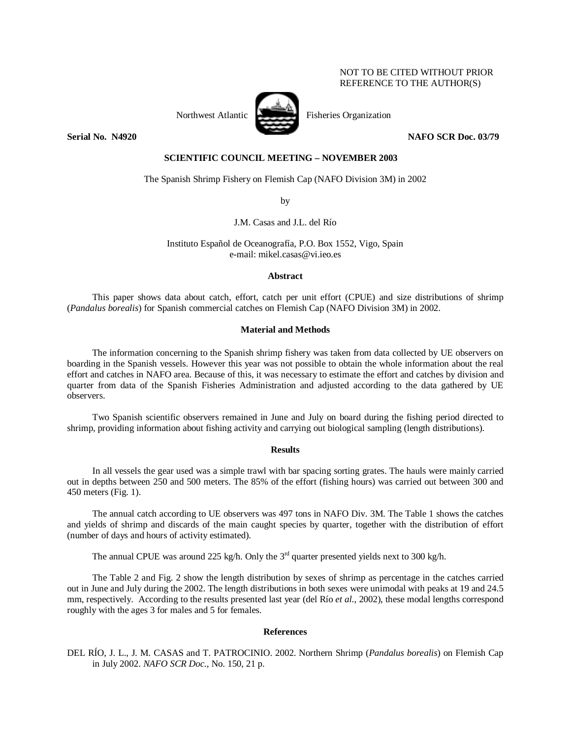## NOT TO BE CITED WITHOUT PRIOR REFERENCE TO THE AUTHOR(S)



Northwest Atlantic Fisheries Organization

**Serial No. 14920 NAFO SCR Doc. 03/79 NAFO SCR Doc. 03/79** 

# **SCIENTIFIC COUNCIL MEETING – NOVEMBER 2003**

## The Spanish Shrimp Fishery on Flemish Cap (NAFO Division 3M) in 2002

by

J.M. Casas and J.L. del Río

Instituto Español de Oceanografía, P.O. Box 1552, Vigo, Spain e-mail: mikel.casas@vi.ieo.es

## **Abstract**

This paper shows data about catch, effort, catch per unit effort (CPUE) and size distributions of shrimp (*Pandalus borealis*) for Spanish commercial catches on Flemish Cap (NAFO Division 3M) in 2002.

#### **Material and Methods**

The information concerning to the Spanish shrimp fishery was taken from data collected by UE observers on boarding in the Spanish vessels. However this year was not possible to obtain the whole information about the real effort and catches in NAFO area. Because of this, it was necessary to estimate the effort and catches by division and quarter from data of the Spanish Fisheries Administration and adjusted according to the data gathered by UE observers.

Two Spanish scientific observers remained in June and July on board during the fishing period directed to shrimp, providing information about fishing activity and carrying out biological sampling (length distributions).

#### **Results**

In all vessels the gear used was a simple trawl with bar spacing sorting grates. The hauls were mainly carried out in depths between 250 and 500 meters. The 85% of the effort (fishing hours) was carried out between 300 and 450 meters (Fig. 1).

The annual catch according to UE observers was 497 tons in NAFO Div. 3M. The Table 1 shows the catches and yields of shrimp and discards of the main caught species by quarter, together with the distribution of effort (number of days and hours of activity estimated).

The annual CPUE was around 225 kg/h. Only the  $3<sup>rd</sup>$  quarter presented yields next to 300 kg/h.

The Table 2 and Fig. 2 show the length distribution by sexes of shrimp as percentage in the catches carried out in June and July during the 2002. The length distributions in both sexes were unimodal with peaks at 19 and 24.5 mm, respectively. According to the results presented last year (del Río *et al*., 2002), these modal lengths correspond roughly with the ages 3 for males and 5 for females.

### **References**

DEL RÍO, J. L., J. M. CASAS and T. PATROCINIO. 2002. Northern Shrimp (*Pandalus borealis*) on Flemish Cap in July 2002. *NAFO SCR Doc*., No. 150, 21 p.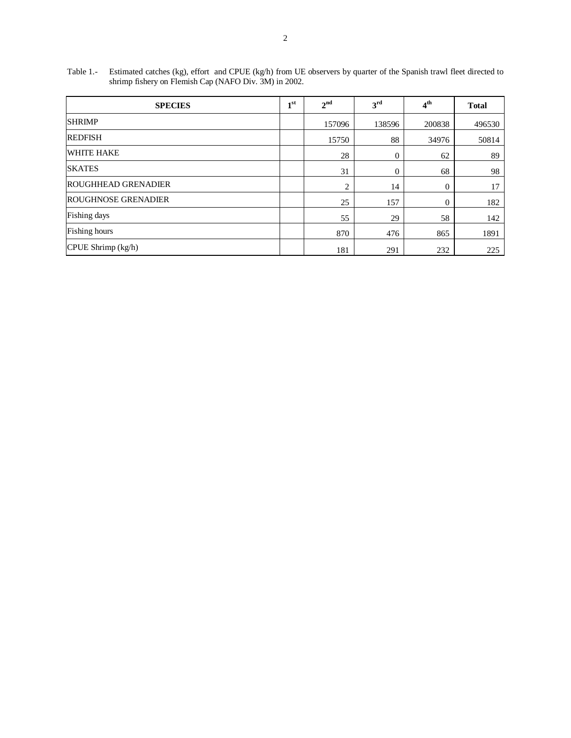| Table 1.- | Estimated catches (kg), effort and CPUE (kg/h) from UE observers by quarter of the Spanish trawl fleet directed to |  |  |  |
|-----------|--------------------------------------------------------------------------------------------------------------------|--|--|--|
|           | shrimp fishery on Flemish Cap (NAFO Div. 3M) in 2002.                                                              |  |  |  |

| <b>SPECIES</b>             | 1 <sup>st</sup> | 2 <sup>nd</sup> | 3 <sup>rd</sup> | 4 <sup>th</sup> | <b>Total</b> |
|----------------------------|-----------------|-----------------|-----------------|-----------------|--------------|
| <b>SHRIMP</b>              |                 | 157096          | 138596          | 200838          | 496530       |
| <b>REDFISH</b>             |                 | 15750           | 88              | 34976           | 50814        |
| <b>WHITE HAKE</b>          |                 | 28              | $\theta$        | 62              | 89           |
| <b>SKATES</b>              |                 | 31              | $\theta$        | 68              | 98           |
| <b>ROUGHHEAD GRENADIER</b> |                 | 2               | 14              | $\Omega$        | 17           |
| <b>ROUGHNOSE GRENADIER</b> |                 | 25              | 157             | $\theta$        | 182          |
| Fishing days               |                 | 55              | 29              | 58              | 142          |
| <b>Fishing hours</b>       |                 | 870             | 476             | 865             | 1891         |
| $CPUE$ Shrimp $(kg/h)$     |                 | 181             | 291             | 232             | 225          |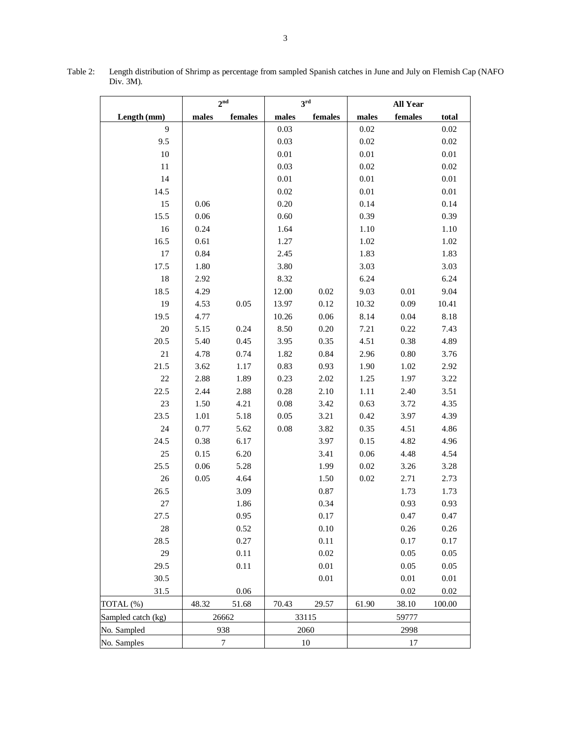|                    | 2 <sup>nd</sup> |                  | 3 <sup>rd</sup> |          | <b>All Year</b> |          |          |
|--------------------|-----------------|------------------|-----------------|----------|-----------------|----------|----------|
| Length (mm)        | males           | females          | males           | females  | males           | females  | total    |
| $\overline{9}$     |                 |                  | 0.03            |          | 0.02            |          | $0.02\,$ |
| 9.5                |                 |                  | 0.03            |          | 0.02            |          | $0.02\,$ |
| $10\,$             |                 |                  | $0.01\,$        |          | $0.01\,$        |          | $0.01\,$ |
| 11                 |                 |                  | 0.03            |          | 0.02            |          | 0.02     |
| 14                 |                 |                  | $0.01\,$        |          | 0.01            |          | $0.01\,$ |
| 14.5               |                 |                  | 0.02            |          | 0.01            |          | $0.01\,$ |
| 15                 | 0.06            |                  | 0.20            |          | 0.14            |          | 0.14     |
| 15.5               | 0.06            |                  | 0.60            |          | 0.39            |          | 0.39     |
| 16                 | 0.24            |                  | 1.64            |          | 1.10            |          | 1.10     |
| 16.5               | 0.61            |                  | 1.27            |          | 1.02            |          | $1.02\,$ |
| 17                 | 0.84            |                  | 2.45            |          | 1.83            |          | 1.83     |
| 17.5               | 1.80            |                  | 3.80            |          | 3.03            |          | 3.03     |
| 18                 | 2.92            |                  | 8.32            |          | 6.24            |          | 6.24     |
| 18.5               | 4.29            |                  | 12.00           | 0.02     | 9.03            | 0.01     | 9.04     |
| 19                 | 4.53            | 0.05             | 13.97           | 0.12     | 10.32           | 0.09     | 10.41    |
| 19.5               | 4.77            |                  | 10.26           | $0.06\,$ | 8.14            | 0.04     | 8.18     |
| $20\,$             | 5.15            | 0.24             | 8.50            | 0.20     | 7.21            | 0.22     | 7.43     |
| 20.5               | 5.40            | 0.45             | 3.95            | 0.35     | 4.51            | 0.38     | 4.89     |
| 21                 | 4.78            | 0.74             | 1.82            | 0.84     | 2.96            | 0.80     | 3.76     |
| 21.5               | 3.62            | 1.17             | 0.83            | 0.93     | 1.90            | 1.02     | 2.92     |
| $22\,$             | 2.88            | 1.89             | 0.23            | 2.02     | 1.25            | 1.97     | 3.22     |
| 22.5               | 2.44            | 2.88             | 0.28            | 2.10     | 1.11            | 2.40     | 3.51     |
| 23                 | 1.50            | 4.21             | 0.08            | 3.42     | 0.63            | 3.72     | 4.35     |
| 23.5               | 1.01            | 5.18             | 0.05            | 3.21     | 0.42            | 3.97     | 4.39     |
| $24\,$             | 0.77            | 5.62             | 0.08            | 3.82     | 0.35            | 4.51     | 4.86     |
| 24.5               | 0.38            | 6.17             |                 | 3.97     | 0.15            | 4.82     | 4.96     |
| 25                 | 0.15            | 6.20             |                 | 3.41     | 0.06            | 4.48     | 4.54     |
| 25.5               | $0.06\,$        | 5.28             |                 | 1.99     | $0.02\,$        | 3.26     | 3.28     |
| $26\,$             | $0.05\,$        | 4.64             |                 | 1.50     | $0.02\,$        | 2.71     | 2.73     |
| 26.5               |                 | 3.09             |                 | 0.87     |                 | 1.73     | 1.73     |
| 27                 |                 | 1.86             |                 | 0.34     |                 | 0.93     | 0.93     |
| 27.5               |                 | 0.95             |                 | 0.17     |                 | 0.47     | 0.47     |
| $28\,$             |                 | 0.52             |                 | 0.10     |                 | 0.26     | 0.26     |
| 28.5               |                 | 0.27             |                 | 0.11     |                 | 0.17     | 0.17     |
| 29                 |                 | 0.11             |                 | 0.02     |                 | 0.05     | $0.05\,$ |
| 29.5               |                 | 0.11             |                 | 0.01     |                 | 0.05     | 0.05     |
| 30.5               |                 |                  |                 | $0.01\,$ |                 | $0.01\,$ | 0.01     |
| 31.5               |                 | 0.06             |                 |          |                 | 0.02     | 0.02     |
| TOTAL (%)          | 48.32           | 51.68            | 70.43           | 29.57    | 61.90           | 38.10    | 100.00   |
| Sampled catch (kg) |                 | 26662            |                 | 33115    | 59777           |          |          |
| No. Sampled        |                 | 938              |                 | 2060     |                 | 2998     |          |
| No. Samples        |                 | $\boldsymbol{7}$ | 10              |          | 17              |          |          |

Table 2: Length distribution of Shrimp as percentage from sampled Spanish catches in June and July on Flemish Cap (NAFO Div. 3M).